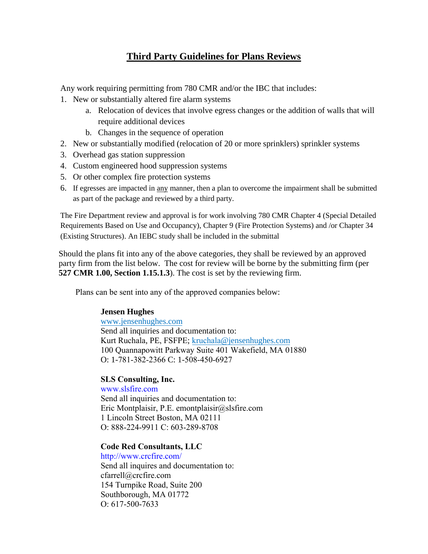# **Third Party Guidelines for Plans Reviews**

Any work requiring permitting from 780 CMR and/or the IBC that includes:

- 1. New or substantially altered fire alarm systems
	- a. Relocation of devices that involve egress changes or the addition of walls that will require additional devices
	- b. Changes in the sequence of operation
- 2. New or substantially modified (relocation of 20 or more sprinklers) sprinkler systems
- 3. Overhead gas station suppression
- 4. Custom engineered hood suppression systems
- 5. Or other complex fire protection systems
- 6. If egresses are impacted in any manner, then a plan to overcome the impairment shall be submitted as part of the package and reviewed by a third party.

The Fire Department review and approval is for work involving 780 CMR Chapter 4 (Special Detailed Requirements Based on Use and Occupancy), Chapter 9 (Fire Protection Systems) and /or Chapter 34 (Existing Structures). An IEBC study shall be included in the submittal

Should the plans fit into any of the above categories, they shall be reviewed by an approved party firm from the list below. The cost for review will be borne by the submitting firm (per **527 CMR 1.00, Section 1.15.1.3**). The cost is set by the reviewing firm.

Plans can be sent into any of the approved companies below:

## **Jensen Hughes**

www.jensenhughes.com Send all inquiries and documentation to: Kurt Ruchala, PE, FSFPE; kruchala@jensenhughes.com 100 Quannapowitt Parkway Suite 401 Wakefield, MA 01880 O: 1-781-382-2366 C: 1-508-450-6927

## **SLS Consulting, Inc.**

www.slsfire.com Send all inquiries and documentation to: Eric Montplaisir, P.E. emontplaisir@slsfire.com 1 Lincoln Street Boston, MA 02111 O: 888-224-9911 C: 603-289-8708

#### **Code Red Consultants, LLC**

http://www.crcfire.c[om/](mailto:emontplaisir@slsfire.com) Send all inquires and documentation to: cfarrell@crcfire.com 154 Turnpike Road, Suite 200 Southborough, MA 01772 O: 617-500-7633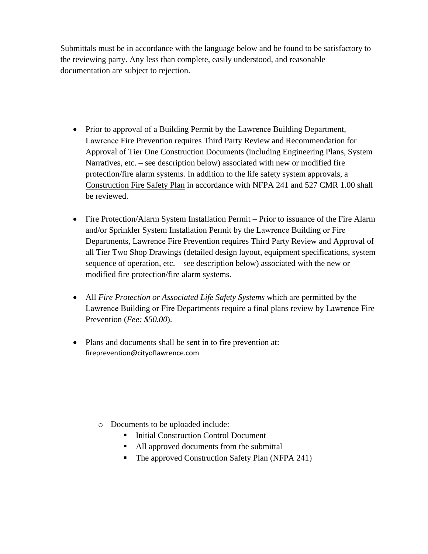Submittals must be in accordance with the language below and be found to be satisfactory to the reviewing party. Any less than complete, easily understood, and reasonable documentation are subject to rejection.

- Prior to approval of a Building Permit by the Lawrence Building Department, Lawrence Fire Prevention requires Third Party Review and Recommendation for Approval of Tier One Construction Documents (including Engineering Plans, System Narratives, etc. – see description below) associated with new or modified fire protection/fire alarm systems. In addition to the life safety system approvals, a Construction Fire Safety Plan in accordance with NFPA 241 and 527 CMR 1.00 shall be reviewed.
- Fire Protection/Alarm System Installation Permit Prior to issuance of the Fire Alarm and/or Sprinkler System Installation Permit by the Lawrence Building or Fire Departments, Lawrence Fire Prevention requires Third Party Review and Approval of all Tier Two Shop Drawings (detailed design layout, equipment specifications, system sequence of operation, etc. – see description below) associated with the new or modified fire protection/fire alarm systems.
- All *Fire Protection or Associated Life Safety Systems* which are permitted by the Lawrence Building or Fire Departments require a final plans review by Lawrence Fire Prevention (*Fee: \$50.00*).
- Plans and documents shall be sent in to fire [prevention](https://brooklinema.gov/Permits-and-Licensing) at: [fireprevent](https://brooklinema.gov/Permits-and-Licensing)ion@cityoflawrence.com

- o Documents to be uploaded include:
	- Initial Construction Control Document
	- All approved documents from the submittal
	- The approved Construction Safety Plan (NFPA 241)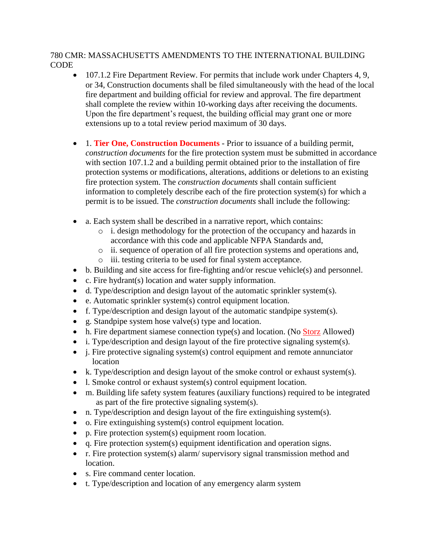#### 780 CMR: MASSACHUSETTS AMENDMENTS TO THE INTERNATIONAL BUILDING **CODE**

- 107.1.2 Fire Department Review. For permits that include work under Chapters 4, 9, or 34, Construction documents shall be filed simultaneously with the head of the local fire department and building official for review and approval. The fire department shall complete the review within 10-working days after receiving the documents. Upon the fire department's request, the building official may grant one or more extensions up to a total review period maximum of 30 days.
- 1. **Tier One, Construction Documents**  Prior to issuance of a building permit, *construction documents* for the fire protection system must be submitted in accordance with section 107.1.2 and a building permit obtained prior to the installation of fire protection systems or modifications, alterations, additions or deletions to an existing fire protection system. The *construction documents* shall contain sufficient information to completely describe each of the fire protection system(s) for which a permit is to be issued. The *construction documents* shall include the following:
- a. Each system shall be described in a narrative report, which contains:
	- o i. design methodology for the protection of the occupancy and hazards in accordance with this code and applicable NFPA Standards and,
	- o ii. sequence of operation of all fire protection systems and operations and,
	- o iii. testing criteria to be used for final system acceptance.
- b. Building and site access for fire-fighting and/or rescue vehicle(s) and personnel.
- c. Fire hydrant(s) location and water supply information.
- d. Type/description and design layout of the automatic sprinkler system(s).
- e. Automatic sprinkler system(s) control equipment location.
- f. Type/description and design layout of the automatic standpipe system(s).
- g. Standpipe system hose valve(s) type and location.
- h. Fire department siamese connection type(s) and location. (No Storz Allowed)
- i. Type/description and design layout of the fire protective signaling system(s).
- $\bullet$  i. Fire protective signaling system(s) control equipment and remote annunciator location
- k. Type/description and design layout of the smoke control or exhaust system(s).
- l. Smoke control or exhaust system(s) control equipment location.
- m. Building life safety system features (auxiliary functions) required to be integrated as part of the fire protective signaling system(s).
- n. Type/description and design layout of the fire extinguishing system(s).
- o. Fire extinguishing system(s) control equipment location.
- p. Fire protection system(s) equipment room location.
- q. Fire protection system(s) equipment identification and operation signs.
- r. Fire protection system(s) alarm/ supervisory signal transmission method and location.
- s. Fire command center location.
- t. Type/description and location of any emergency alarm system